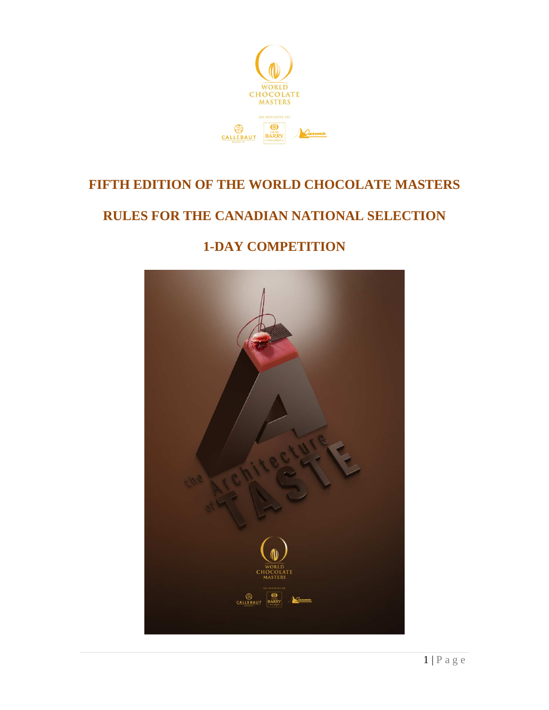

# **FIFTH EDITION OF THE WORLD CHOCOLATE MASTERS**

# **RULES FOR THE CANADIAN NATIONAL SELECTION**

# **1-DAY COMPETITION**

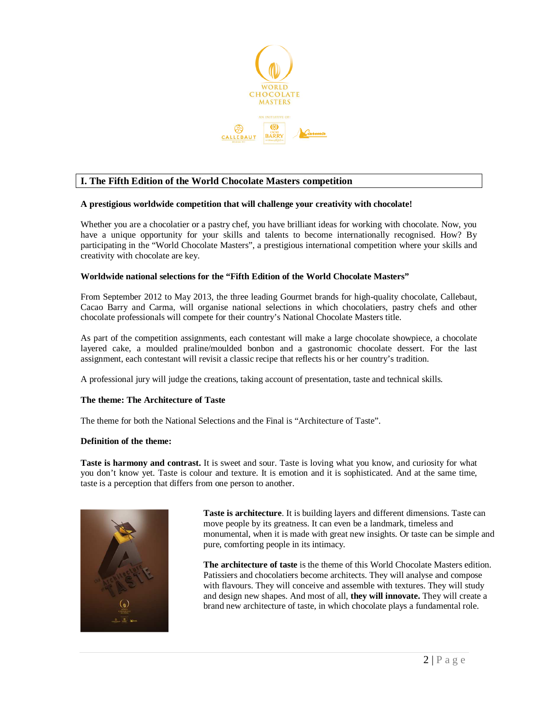

# **I. The Fifth Edition of the World Chocolate Masters competition**

#### **A prestigious worldwide competition that will challenge your creativity with chocolate!**

Whether you are a chocolatier or a pastry chef, you have brilliant ideas for working with chocolate. Now, you have a unique opportunity for your skills and talents to become internationally recognised. How? By participating in the "World Chocolate Masters", a prestigious international competition where your skills and creativity with chocolate are key.

#### **Worldwide national selections for the "Fifth Edition of the World Chocolate Masters"**

From September 2012 to May 2013, the three leading Gourmet brands for high-quality chocolate, Callebaut, Cacao Barry and Carma, will organise national selections in which chocolatiers, pastry chefs and other chocolate professionals will compete for their country's National Chocolate Masters title.

As part of the competition assignments, each contestant will make a large chocolate showpiece, a chocolate layered cake, a moulded praline/moulded bonbon and a gastronomic chocolate dessert. For the last assignment, each contestant will revisit a classic recipe that reflects his or her country's tradition.

A professional jury will judge the creations, taking account of presentation, taste and technical skills.

#### **The theme: The Architecture of Taste**

The theme for both the National Selections and the Final is "Architecture of Taste".

#### **Definition of the theme:**

**Taste is harmony and contrast.** It is sweet and sour. Taste is loving what you know, and curiosity for what you don't know yet. Taste is colour and texture. It is emotion and it is sophisticated. And at the same time, taste is a perception that differs from one person to another.



**Taste is architecture**. It is building layers and different dimensions. Taste can move people by its greatness. It can even be a landmark, timeless and monumental, when it is made with great new insights. Or taste can be simple and pure, comforting people in its intimacy.

**The architecture of taste** is the theme of this World Chocolate Masters edition. Patissiers and chocolatiers become architects. They will analyse and compose with flavours. They will conceive and assemble with textures. They will study and design new shapes. And most of all, **they will innovate.** They will create a brand new architecture of taste, in which chocolate plays a fundamental role.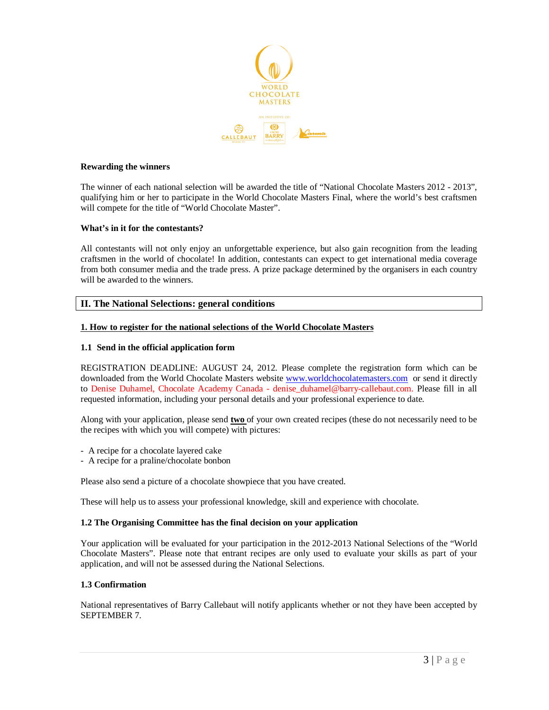

#### **Rewarding the winners**

The winner of each national selection will be awarded the title of "National Chocolate Masters 2012 - 2013", qualifying him or her to participate in the World Chocolate Masters Final, where the world's best craftsmen will compete for the title of "World Chocolate Master".

#### **What's in it for the contestants?**

All contestants will not only enjoy an unforgettable experience, but also gain recognition from the leading craftsmen in the world of chocolate! In addition, contestants can expect to get international media coverage from both consumer media and the trade press. A prize package determined by the organisers in each country will be awarded to the winners.

# **II. The National Selections: general conditions**

#### **1. How to register for the national selections of the World Chocolate Masters**

#### **1.1 Send in the official application form**

REGISTRATION DEADLINE: AUGUST 24, 2012. Please complete the registration form which can be downloaded from the World Chocolate Masters website www.worldchocolatemasters.com or send it directly to Denise Duhamel, Chocolate Academy Canada - denise\_duhamel@barry-callebaut.com. Please fill in all requested information, including your personal details and your professional experience to date.

Along with your application, please send **two** of your own created recipes (these do not necessarily need to be the recipes with which you will compete) with pictures:

- A recipe for a chocolate layered cake
- A recipe for a praline/chocolate bonbon

Please also send a picture of a chocolate showpiece that you have created.

These will help us to assess your professional knowledge, skill and experience with chocolate.

#### **1.2 The Organising Committee has the final decision on your application**

Your application will be evaluated for your participation in the 2012-2013 National Selections of the "World Chocolate Masters". Please note that entrant recipes are only used to evaluate your skills as part of your application, and will not be assessed during the National Selections.

#### **1.3 Confirmation**

National representatives of Barry Callebaut will notify applicants whether or not they have been accepted by SEPTEMBER 7.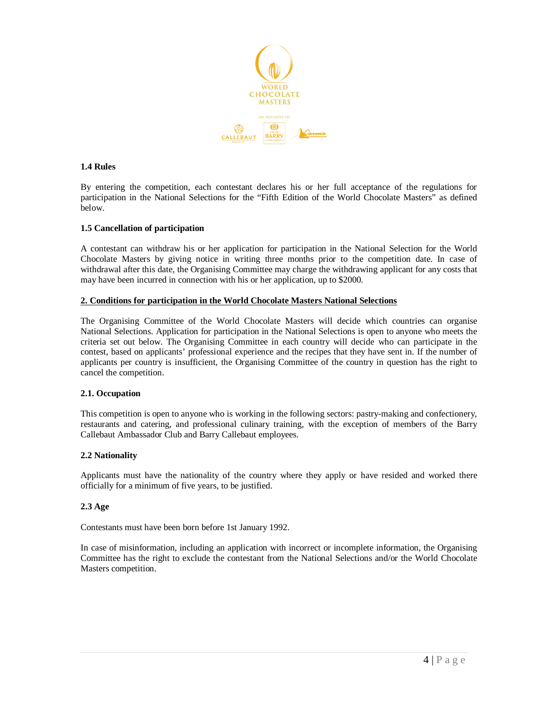

#### **1.4 Rules**

By entering the competition, each contestant declares his or her full acceptance of the regulations for participation in the National Selections for the "Fifth Edition of the World Chocolate Masters" as defined below.

# **1.5 Cancellation of participation**

A contestant can withdraw his or her application for participation in the National Selection for the World Chocolate Masters by giving notice in writing three months prior to the competition date. In case of withdrawal after this date, the Organising Committee may charge the withdrawing applicant for any costs that may have been incurred in connection with his or her application, up to \$2000.

# **2. Conditions for participation in the World Chocolate Masters National Selections**

The Organising Committee of the World Chocolate Masters will decide which countries can organise National Selections. Application for participation in the National Selections is open to anyone who meets the criteria set out below. The Organising Committee in each country will decide who can participate in the contest, based on applicants' professional experience and the recipes that they have sent in. If the number of applicants per country is insufficient, the Organising Committee of the country in question has the right to cancel the competition.

#### **2.1. Occupation**

This competition is open to anyone who is working in the following sectors: pastry-making and confectionery, restaurants and catering, and professional culinary training, with the exception of members of the Barry Callebaut Ambassador Club and Barry Callebaut employees.

# **2.2 Nationality**

Applicants must have the nationality of the country where they apply or have resided and worked there officially for a minimum of five years, to be justified.

#### **2.3 Age**

Contestants must have been born before 1st January 1992.

In case of misinformation, including an application with incorrect or incomplete information, the Organising Committee has the right to exclude the contestant from the National Selections and/or the World Chocolate Masters competition.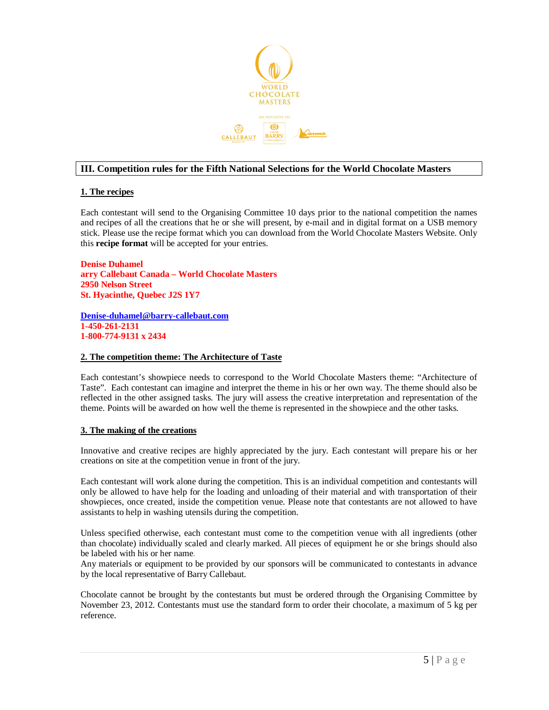

# **III. Competition rules for the Fifth National Selections for the World Chocolate Masters**

# **1. The recipes**

Each contestant will send to the Organising Committee 10 days prior to the national competition the names and recipes of all the creations that he or she will present, by e-mail and in digital format on a USB memory stick. Please use the recipe format which you can download from the World Chocolate Masters Website. Only this **recipe format** will be accepted for your entries.

**Denise Duhamel arry Callebaut Canada – World Chocolate Masters 2950 Nelson Street St. Hyacinthe, Quebec J2S 1Y7** 

**Denise-duhamel@barry-callebaut.com 1-450-261-2131 1-800-774-9131 x 2434** 

#### **2. The competition theme: The Architecture of Taste**

Each contestant's showpiece needs to correspond to the World Chocolate Masters theme: "Architecture of Taste". Each contestant can imagine and interpret the theme in his or her own way. The theme should also be reflected in the other assigned tasks. The jury will assess the creative interpretation and representation of the theme. Points will be awarded on how well the theme is represented in the showpiece and the other tasks.

#### **3. The making of the creations**

Innovative and creative recipes are highly appreciated by the jury. Each contestant will prepare his or her creations on site at the competition venue in front of the jury.

Each contestant will work alone during the competition. This is an individual competition and contestants will only be allowed to have help for the loading and unloading of their material and with transportation of their showpieces, once created, inside the competition venue. Please note that contestants are not allowed to have assistants to help in washing utensils during the competition.

Unless specified otherwise, each contestant must come to the competition venue with all ingredients (other than chocolate) individually scaled and clearly marked. All pieces of equipment he or she brings should also be labeled with his or her name.

Any materials or equipment to be provided by our sponsors will be communicated to contestants in advance by the local representative of Barry Callebaut.

Chocolate cannot be brought by the contestants but must be ordered through the Organising Committee by November 23, 2012. Contestants must use the standard form to order their chocolate, a maximum of 5 kg per reference.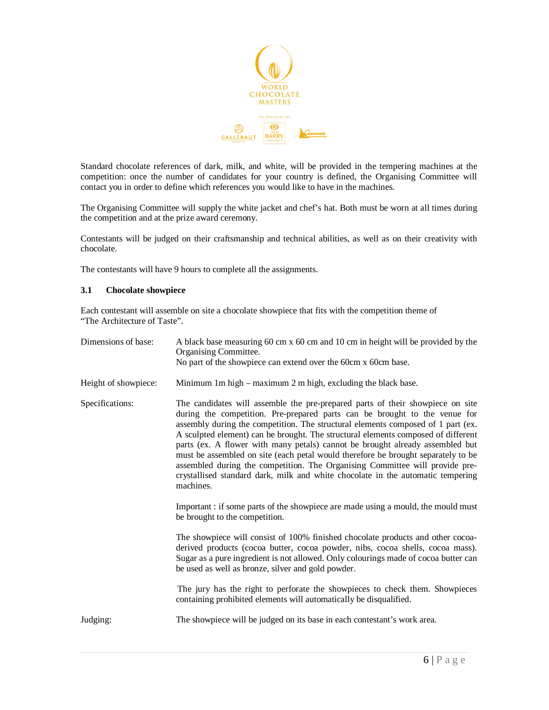

Standard chocolate references of dark, milk, and white, will be provided in the tempering machines at the competition: once the number of candidates for your country is defined, the Organising Committee will contact you in order to define which references you would like to have in the machines.

The Organising Committee will supply the white jacket and chef's hat. Both must be worn at all times during the competition and at the prize award ceremony.

Contestants will be judged on their craftsmanship and technical abilities, as well as on their creativity with chocolate.

The contestants will have 9 hours to complete all the assignments.

#### **3.1 Chocolate showpiece**

Each contestant will assemble on site a chocolate showpiece that fits with the competition theme of "The Architecture of Taste".

| Dimensions of base:  | A black base measuring 60 cm x 60 cm and 10 cm in height will be provided by the<br>Organising Committee.<br>No part of the showpiece can extend over the 60cm x 60cm base.                                                                                                                                                                                                                                                                                                                                                                                                                                                                                                                 |
|----------------------|---------------------------------------------------------------------------------------------------------------------------------------------------------------------------------------------------------------------------------------------------------------------------------------------------------------------------------------------------------------------------------------------------------------------------------------------------------------------------------------------------------------------------------------------------------------------------------------------------------------------------------------------------------------------------------------------|
| Height of showpiece: | Minimum 1m high – maximum 2 m high, excluding the black base.                                                                                                                                                                                                                                                                                                                                                                                                                                                                                                                                                                                                                               |
| Specifications:      | The candidates will assemble the pre-prepared parts of their showpiece on site<br>during the competition. Pre-prepared parts can be brought to the venue for<br>assembly during the competition. The structural elements composed of 1 part (ex.<br>A sculpted element) can be brought. The structural elements composed of different<br>parts (ex. A flower with many petals) cannot be brought already assembled but<br>must be assembled on site (each petal would therefore be brought separately to be<br>assembled during the competition. The Organising Committee will provide pre-<br>crystallised standard dark, milk and white chocolate in the automatic tempering<br>machines. |
|                      | Important : if some parts of the showpiece are made using a mould, the mould must<br>be brought to the competition.                                                                                                                                                                                                                                                                                                                                                                                                                                                                                                                                                                         |
|                      | The showpiece will consist of 100% finished chocolate products and other cocoa-<br>derived products (cocoa butter, cocoa powder, nibs, cocoa shells, cocoa mass).<br>Sugar as a pure ingredient is not allowed. Only colourings made of cocoa butter can<br>be used as well as bronze, silver and gold powder.                                                                                                                                                                                                                                                                                                                                                                              |
|                      | The jury has the right to perforate the showpieces to check them. Showpieces<br>containing prohibited elements will automatically be disqualified.                                                                                                                                                                                                                                                                                                                                                                                                                                                                                                                                          |
| Judging:             | The showpiece will be judged on its base in each contestant's work area.                                                                                                                                                                                                                                                                                                                                                                                                                                                                                                                                                                                                                    |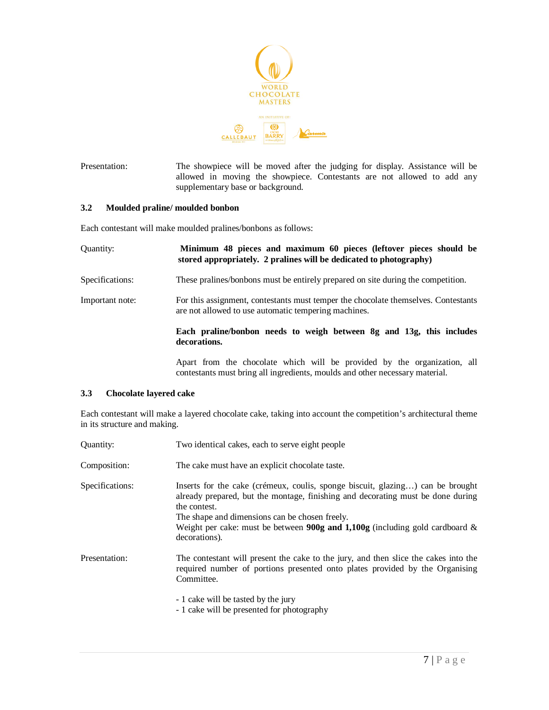

Presentation: The showpiece will be moved after the judging for display. Assistance will be allowed in moving the showpiece. Contestants are not allowed to add any supplementary base or background.

#### **3.2 Moulded praline/ moulded bonbon**

Each contestant will make moulded pralines/bonbons as follows:

| Quantity:       | Minimum 48 pieces and maximum 60 pieces (leftover pieces should be<br>stored appropriately. 2 pralines will be dedicated to photography)   |
|-----------------|--------------------------------------------------------------------------------------------------------------------------------------------|
| Specifications: | These pralines/bonbons must be entirely prepared on site during the competition.                                                           |
| Important note: | For this assignment, contestants must temper the chocolate themselves. Contestants<br>are not allowed to use automatic tempering machines. |
|                 | Each praline/bonbon needs to weigh between 8g and 13g, this includes<br>decorations.                                                       |
|                 | Apart from the chocolate which will be provided by the organization, all                                                                   |

# **3.3 Chocolate layered cake**

Each contestant will make a layered chocolate cake, taking into account the competition's architectural theme in its structure and making.

contestants must bring all ingredients, moulds and other necessary material.

| Quantity:       | Two identical cakes, each to serve eight people                                                                                                                                                                                                                                                                                                |
|-----------------|------------------------------------------------------------------------------------------------------------------------------------------------------------------------------------------------------------------------------------------------------------------------------------------------------------------------------------------------|
| Composition:    | The cake must have an explicit chocolate taste.                                                                                                                                                                                                                                                                                                |
| Specifications: | Inserts for the cake (crémeux, coulis, sponge biscuit, glazing) can be brought<br>already prepared, but the montage, finishing and decorating must be done during<br>the contest.<br>The shape and dimensions can be chosen freely.<br>Weight per cake: must be between <b>900g and 1,100g</b> (including gold cardboard $\&$<br>decorations). |
| Presentation:   | The contestant will present the cake to the jury, and then slice the cakes into the<br>required number of portions presented onto plates provided by the Organising<br>Committee.<br>- 1 cake will be tasted by the jury                                                                                                                       |
|                 | - 1 cake will be presented for photography                                                                                                                                                                                                                                                                                                     |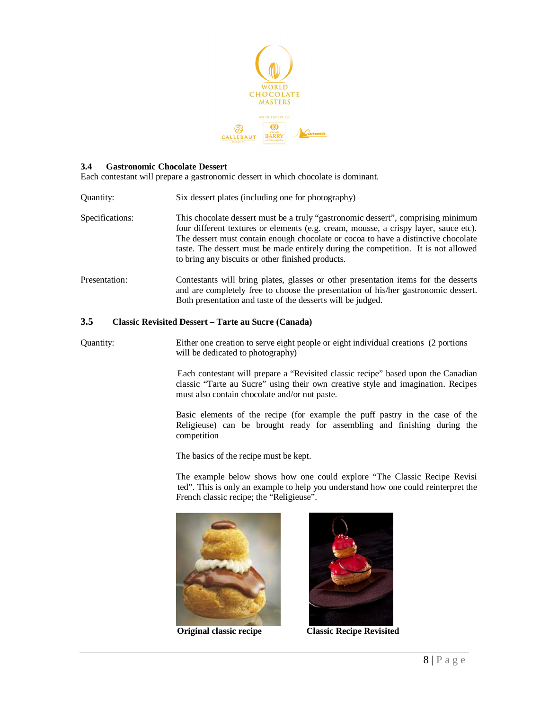

#### **3.4 Gastronomic Chocolate Dessert**

Each contestant will prepare a gastronomic dessert in which chocolate is dominant.

- Quantity: Six dessert plates (including one for photography) Specifications: This chocolate dessert must be a truly "gastronomic dessert", comprising minimum four different textures or elements (e.g. cream, mousse, a crispy layer, sauce etc). The dessert must contain enough chocolate or cocoa to have a distinctive chocolate taste. The dessert must be made entirely during the competition. It is not allowed to bring any biscuits or other finished products.
- Presentation: Contestants will bring plates, glasses or other presentation items for the desserts and are completely free to choose the presentation of his/her gastronomic dessert. Both presentation and taste of the desserts will be judged.

#### **3.5 Classic Revisited Dessert – Tarte au Sucre (Canada)**

Quantity: Either one creation to serve eight people or eight individual creations (2 portions will be dedicated to photography)

> Each contestant will prepare a "Revisited classic recipe" based upon the Canadian classic "Tarte au Sucre" using their own creative style and imagination. Recipes must also contain chocolate and/or nut paste.

> Basic elements of the recipe (for example the puff pastry in the case of the Religieuse) can be brought ready for assembling and finishing during the competition

The basics of the recipe must be kept.

 The example below shows how one could explore "The Classic Recipe Revisi ted". This is only an example to help you understand how one could reinterpret the French classic recipe; the "Religieuse".





 **Original classic recipe Classic Recipe Revisited**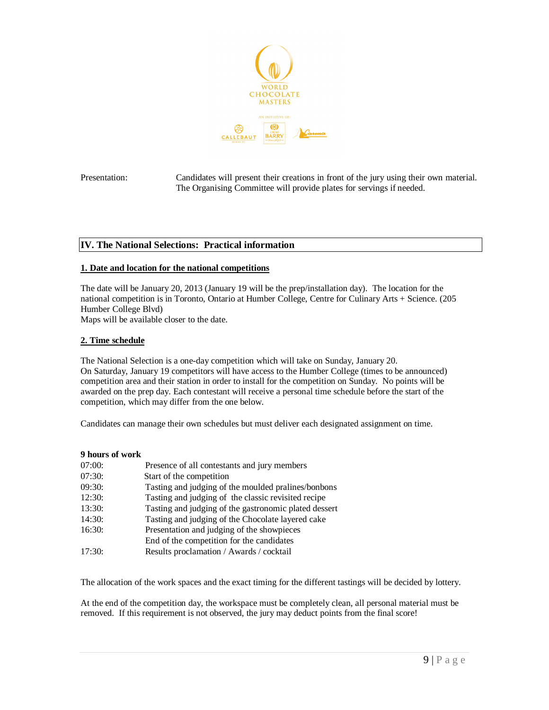

Presentation: Candidates will present their creations in front of the jury using their own material. The Organising Committee will provide plates for servings if needed.

# **IV. The National Selections: Practical information**

#### **1. Date and location for the national competitions**

The date will be January 20, 2013 (January 19 will be the prep/installation day). The location for the national competition is in Toronto, Ontario at Humber College, Centre for Culinary Arts + Science. (205 Humber College Blvd)

Maps will be available closer to the date.

# **2. Time schedule**

The National Selection is a one-day competition which will take on Sunday, January 20. On Saturday, January 19 competitors will have access to the Humber College (times to be announced) competition area and their station in order to install for the competition on Sunday. No points will be awarded on the prep day. Each contestant will receive a personal time schedule before the start of the competition, which may differ from the one below.

Candidates can manage their own schedules but must deliver each designated assignment on time.

#### **9 hours of work**

| 07:00: | Presence of all contestants and jury members          |
|--------|-------------------------------------------------------|
| 07:30: | Start of the competition                              |
| 09:30: | Tasting and judging of the moulded pralines/bonbons   |
| 12:30: | Tasting and judging of the classic revisited recipe   |
| 13:30: | Tasting and judging of the gastronomic plated dessert |
| 14:30: | Tasting and judging of the Chocolate layered cake     |
| 16:30: | Presentation and judging of the showpieces            |
|        | End of the competition for the candidates             |
| 17:30: | Results proclamation / Awards / cocktail              |

The allocation of the work spaces and the exact timing for the different tastings will be decided by lottery.

At the end of the competition day, the workspace must be completely clean, all personal material must be removed. If this requirement is not observed, the jury may deduct points from the final score!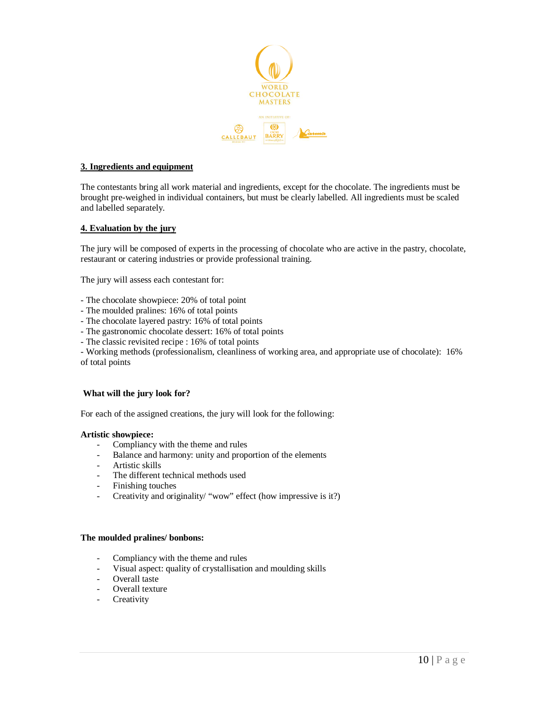

#### **3. Ingredients and equipment**

The contestants bring all work material and ingredients, except for the chocolate. The ingredients must be brought pre-weighed in individual containers, but must be clearly labelled. All ingredients must be scaled and labelled separately.

# **4. Evaluation by the jury**

The jury will be composed of experts in the processing of chocolate who are active in the pastry, chocolate, restaurant or catering industries or provide professional training.

The jury will assess each contestant for:

- The chocolate showpiece: 20% of total point
- The moulded pralines: 16% of total points
- The chocolate layered pastry: 16% of total points
- The gastronomic chocolate dessert: 16% of total points
- The classic revisited recipe : 16% of total points

- Working methods (professionalism, cleanliness of working area, and appropriate use of chocolate): 16% of total points

#### **What will the jury look for?**

For each of the assigned creations, the jury will look for the following:

#### **Artistic showpiece:**

- Compliancy with the theme and rules
- Balance and harmony: unity and proportion of the elements
- Artistic skills
- The different technical methods used
- Finishing touches
- Creativity and originality/ "wow" effect (how impressive is it?)

#### **The moulded pralines/ bonbons:**

- Compliancy with the theme and rules
- Visual aspect: quality of crystallisation and moulding skills
- Overall taste
- Overall texture
- Creativity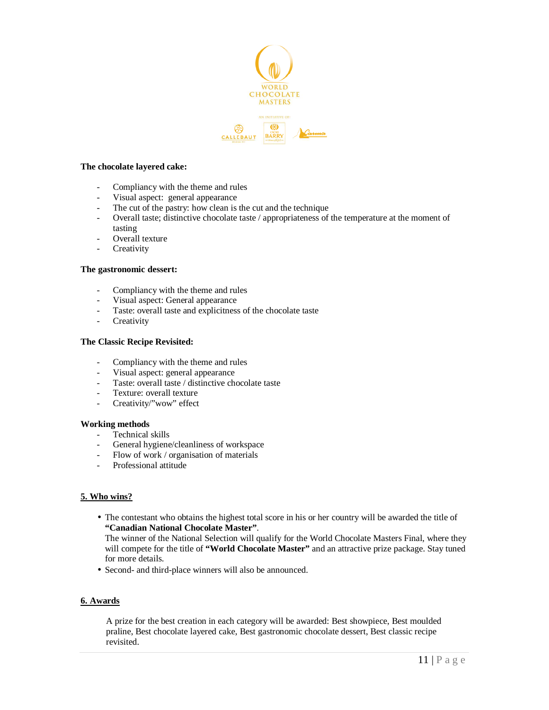

#### **The chocolate layered cake:**

- Compliancy with the theme and rules
- Visual aspect: general appearance
- The cut of the pastry: how clean is the cut and the technique
- Overall taste; distinctive chocolate taste / appropriateness of the temperature at the moment of tasting
- Overall texture
- Creativity

#### **The gastronomic dessert:**

- Compliancy with the theme and rules
- Visual aspect: General appearance
- Taste: overall taste and explicitness of the chocolate taste
- Creativity

#### **The Classic Recipe Revisited:**

- Compliancy with the theme and rules
- Visual aspect: general appearance
- Taste: overall taste / distinctive chocolate taste
- Texture: overall texture
- Creativity/"wow" effect

#### **Working methods**

- Technical skills
- General hygiene/cleanliness of workspace
- Flow of work / organisation of materials
- Professional attitude

#### **5. Who wins?**

• The contestant who obtains the highest total score in his or her country will be awarded the title of **"Canadian National Chocolate Master"**.

The winner of the National Selection will qualify for the World Chocolate Masters Final, where they will compete for the title of **"World Chocolate Master"** and an attractive prize package. Stay tuned for more details.

• Second- and third-place winners will also be announced.

#### **6. Awards**

A prize for the best creation in each category will be awarded: Best showpiece, Best moulded praline, Best chocolate layered cake, Best gastronomic chocolate dessert, Best classic recipe revisited.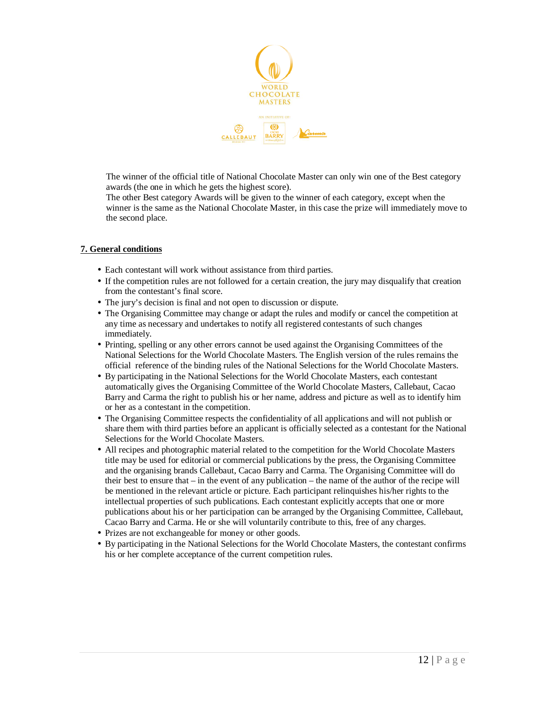

The winner of the official title of National Chocolate Master can only win one of the Best category awards (the one in which he gets the highest score).

The other Best category Awards will be given to the winner of each category, except when the winner is the same as the National Chocolate Master, in this case the prize will immediately move to the second place.

# **7. General conditions**

- Each contestant will work without assistance from third parties.
- If the competition rules are not followed for a certain creation, the jury may disqualify that creation from the contestant's final score.
- The jury's decision is final and not open to discussion or dispute.
- The Organising Committee may change or adapt the rules and modify or cancel the competition at any time as necessary and undertakes to notify all registered contestants of such changes immediately.
- Printing, spelling or any other errors cannot be used against the Organising Committees of the National Selections for the World Chocolate Masters. The English version of the rules remains the official reference of the binding rules of the National Selections for the World Chocolate Masters.
- By participating in the National Selections for the World Chocolate Masters, each contestant automatically gives the Organising Committee of the World Chocolate Masters, Callebaut, Cacao Barry and Carma the right to publish his or her name, address and picture as well as to identify him or her as a contestant in the competition.
- The Organising Committee respects the confidentiality of all applications and will not publish or share them with third parties before an applicant is officially selected as a contestant for the National Selections for the World Chocolate Masters.
- All recipes and photographic material related to the competition for the World Chocolate Masters title may be used for editorial or commercial publications by the press, the Organising Committee and the organising brands Callebaut, Cacao Barry and Carma. The Organising Committee will do their best to ensure that – in the event of any publication – the name of the author of the recipe will be mentioned in the relevant article or picture. Each participant relinquishes his/her rights to the intellectual properties of such publications. Each contestant explicitly accepts that one or more publications about his or her participation can be arranged by the Organising Committee, Callebaut, Cacao Barry and Carma. He or she will voluntarily contribute to this, free of any charges.
- Prizes are not exchangeable for money or other goods.
- By participating in the National Selections for the World Chocolate Masters, the contestant confirms his or her complete acceptance of the current competition rules.